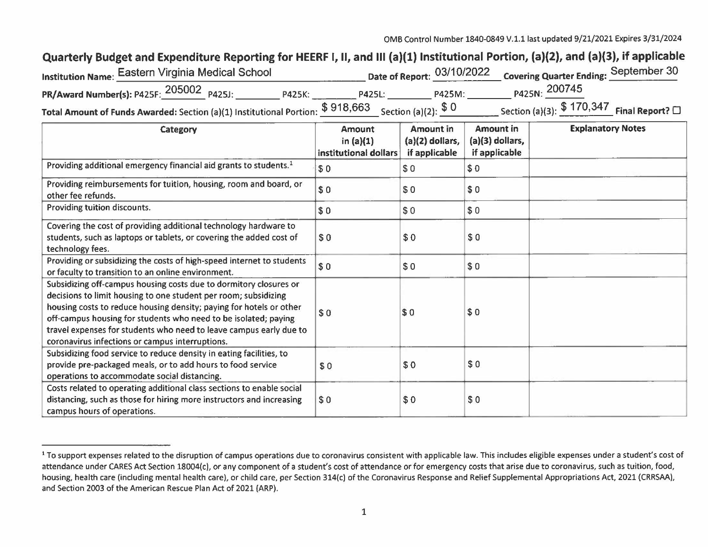## Quarterly Budget and Expenditure Reporting for HEERF I, II, and III (a)(1) Institutional Portion, (a)(2), and (a)(3), if applicable

| 'nstitution Name: Eastern Virginia Medical School                                                                                           |        |               |        | Date of Report: 03/10/2022 Covering Quarter Ending: September 30 |  |
|---------------------------------------------------------------------------------------------------------------------------------------------|--------|---------------|--------|------------------------------------------------------------------|--|
| <b>PR/Award Number(s): P425F: 205002 P425J:</b>                                                                                             | P425K: | <b>P425L:</b> | P425M: | P425N: 200745                                                    |  |
| <b>Total Amount of Funds Awarded:</b> Section (a)(1) Institutional Portion: $\frac{\$ 918,663}{\$ 926}$ Section (a)(2): $\frac{\$ 0}{\$ 0}$ |        |               |        | Section (a)(3): $$170,347$ Final Report? $\Box$                  |  |

| Category                                                                                                                                                                                                                                                                                                                                                                                                | <b>Amount</b><br>in $(a)(1)$<br>institutional dollars | Amount in<br>$(a)(2)$ dollars,<br>if applicable | Amount in<br>$(a)(3)$ dollars,<br>if applicable | <b>Explanatory Notes</b> |
|---------------------------------------------------------------------------------------------------------------------------------------------------------------------------------------------------------------------------------------------------------------------------------------------------------------------------------------------------------------------------------------------------------|-------------------------------------------------------|-------------------------------------------------|-------------------------------------------------|--------------------------|
| Providing additional emergency financial aid grants to students. <sup>1</sup>                                                                                                                                                                                                                                                                                                                           | \$0                                                   | \$0                                             | \$0                                             |                          |
| Providing reimbursements for tuition, housing, room and board, or<br>other fee refunds.                                                                                                                                                                                                                                                                                                                 | \$0                                                   | \$0                                             | \$0                                             |                          |
| Providing tuition discounts.                                                                                                                                                                                                                                                                                                                                                                            | \$0                                                   | \$0                                             | \$0                                             |                          |
| Covering the cost of providing additional technology hardware to<br>students, such as laptops or tablets, or covering the added cost of<br>technology fees.                                                                                                                                                                                                                                             | \$0                                                   | \$0                                             | \$0                                             |                          |
| Providing or subsidizing the costs of high-speed internet to students<br>or faculty to transition to an online environment.                                                                                                                                                                                                                                                                             | \$0                                                   | \$0                                             | \$0                                             |                          |
| Subsidizing off-campus housing costs due to dormitory closures or<br>decisions to limit housing to one student per room; subsidizing<br>housing costs to reduce housing density; paying for hotels or other<br>off-campus housing for students who need to be isolated; paying<br>travel expenses for students who need to leave campus early due to<br>coronavirus infections or campus interruptions. | \$0                                                   | \$0                                             | \$0                                             |                          |
| Subsidizing food service to reduce density in eating facilities, to<br>provide pre-packaged meals, or to add hours to food service<br>operations to accommodate social distancing.                                                                                                                                                                                                                      | \$0                                                   | \$0                                             | \$0                                             |                          |
| Costs related to operating additional class sections to enable social<br>distancing, such as those for hiring more instructors and increasing<br>campus hours of operations.                                                                                                                                                                                                                            | \$0                                                   | \$0                                             | \$0                                             |                          |

<sup>&</sup>lt;sup>1</sup> To support expenses related to the disruption of campus operations due to coronavirus consistent with applicable law. This includes eligible expenses under a student's cost of attendance under CARES Act Section 18004(c), or any component of a student's cost of attendance or for emergency costs that arise due to coronavirus, such as tuition, food, housing, health care (including mental health care), or child care, per Section 314(c) of the Coronavirus Response and Relief Supplemental Appropriations Act, 2021 (CRRSAA), and Section 2003 of the American Rescue Plan Act of 2021 (ARP).